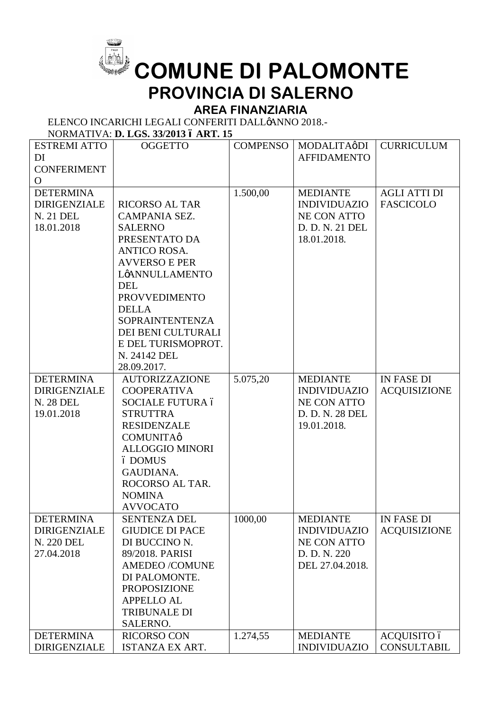

## **COMUNE DI PALOMONTE PROVINCIA DI SALERNO**

## **AREA FINANZIARIA**

ELENCO INCARICHI LEGALI CONFERITI DALL¢ANNO 2018.-

NORMATIVA: **D. LGS. 33/2013 – ART. 15**

| <b>ESTREMI ATTO</b> | <b>OGGETTO</b>          | <b>COMPENSO</b> | MODALITAøDI         | <b>CURRICULUM</b>   |
|---------------------|-------------------------|-----------------|---------------------|---------------------|
| DI                  |                         |                 | <b>AFFIDAMENTO</b>  |                     |
| <b>CONFERIMENT</b>  |                         |                 |                     |                     |
| O                   |                         |                 |                     |                     |
| <b>DETERMINA</b>    |                         | 1.500,00        | <b>MEDIANTE</b>     | <b>AGLI ATTI DI</b> |
| <b>DIRIGENZIALE</b> | <b>RICORSO AL TAR</b>   |                 | <b>INDIVIDUAZIO</b> | <b>FASCICOLO</b>    |
| N. 21 DEL           | CAMPANIA SEZ.           |                 | <b>NE CON ATTO</b>  |                     |
| 18.01.2018          | <b>SALERNO</b>          |                 | D. D. N. 21 DEL     |                     |
|                     | PRESENTATO DA           |                 | 18.01.2018.         |                     |
|                     | <b>ANTICO ROSA.</b>     |                 |                     |                     |
|                     | <b>AVVERSO E PER</b>    |                 |                     |                     |
|                     | LøANNULLAMENTO          |                 |                     |                     |
|                     | <b>DEL</b>              |                 |                     |                     |
|                     | <b>PROVVEDIMENTO</b>    |                 |                     |                     |
|                     | <b>DELLA</b>            |                 |                     |                     |
|                     | <b>SOPRAINTENTENZA</b>  |                 |                     |                     |
|                     | DEI BENI CULTURALI      |                 |                     |                     |
|                     | E DEL TURISMOPROT.      |                 |                     |                     |
|                     | N. 24142 DEL            |                 |                     |                     |
|                     | 28.09.2017.             |                 |                     |                     |
| <b>DETERMINA</b>    | <b>AUTORIZZAZIONE</b>   | 5.075,20        | <b>MEDIANTE</b>     | <b>IN FASE DI</b>   |
| <b>DIRIGENZIALE</b> | <b>COOPERATIVA</b>      |                 | <b>INDIVIDUAZIO</b> | <b>ACQUISIZIONE</b> |
| <b>N. 28 DEL</b>    | <b>SOCIALE FUTURA ó</b> |                 | <b>NE CON ATTO</b>  |                     |
| 19.01.2018          | <b>STRUTTRA</b>         |                 | D. D. N. 28 DEL     |                     |
|                     | <b>RESIDENZALE</b>      |                 | 19.01.2018.         |                     |
|                     | <b>COMUNITA</b> ø       |                 |                     |                     |
|                     | <b>ALLOGGIO MINORI</b>  |                 |                     |                     |
|                     | ó DOMUS                 |                 |                     |                     |
|                     | GAUDIANA.               |                 |                     |                     |
|                     | ROCORSO AL TAR.         |                 |                     |                     |
|                     | <b>NOMINA</b>           |                 |                     |                     |
|                     | <b>AVVOCATO</b>         |                 |                     |                     |
| <b>DETERMINA</b>    | <b>SENTENZA DEL</b>     | 1000,00         | <b>MEDIANTE</b>     | <b>IN FASE DI</b>   |
| <b>DIRIGENZIALE</b> | <b>GIUDICE DI PACE</b>  |                 | <b>INDIVIDUAZIO</b> | <b>ACQUISIZIONE</b> |
| N. 220 DEL          | DI BUCCINO N.           |                 | <b>NE CON ATTO</b>  |                     |
| 27.04.2018          | 89/2018. PARISI         |                 | D. D. N. 220        |                     |
|                     | <b>AMEDEO /COMUNE</b>   |                 | DEL 27.04.2018.     |                     |
|                     | DI PALOMONTE.           |                 |                     |                     |
|                     | <b>PROPOSIZIONE</b>     |                 |                     |                     |
|                     | <b>APPELLO AL</b>       |                 |                     |                     |
|                     | <b>TRIBUNALE DI</b>     |                 |                     |                     |
|                     | SALERNO.                |                 |                     |                     |
| <b>DETERMINA</b>    | <b>RICORSO CON</b>      | 1.274,55        | <b>MEDIANTE</b>     | ACQUISITO ó         |
| <b>DIRIGENZIALE</b> | ISTANZA EX ART.         |                 | <b>INDIVIDUAZIO</b> | <b>CONSULTABIL</b>  |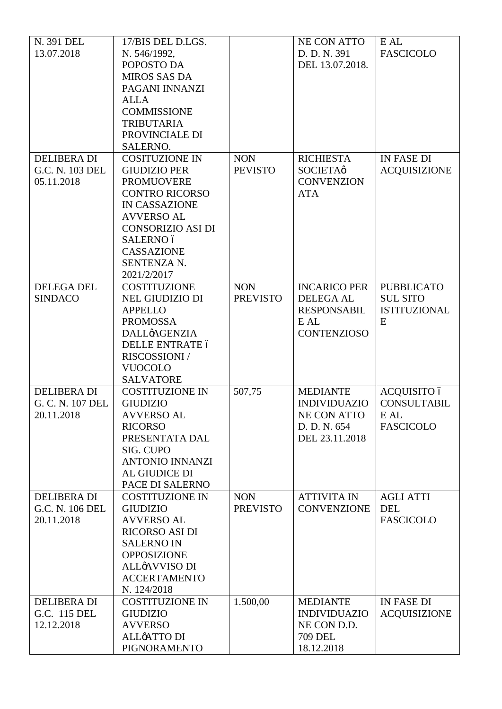| N. 391 DEL<br>13.07.2018                             | 17/BIS DEL D.LGS.<br>N. 546/1992,<br>POPOSTO DA<br><b>MIROS SAS DA</b><br>PAGANI INNANZI<br><b>ALLA</b><br><b>COMMISSIONE</b><br><b>TRIBUTARIA</b><br>PROVINCIALE DI<br>SALERNO.                                             |                               | NE CON ATTO<br>D. D. N. 391<br>DEL 13.07.2018.                                                 | E AL<br><b>FASCICOLO</b>                                         |
|------------------------------------------------------|------------------------------------------------------------------------------------------------------------------------------------------------------------------------------------------------------------------------------|-------------------------------|------------------------------------------------------------------------------------------------|------------------------------------------------------------------|
| <b>DELIBERA DI</b><br>G.C. N. 103 DEL<br>05.11.2018  | <b>COSITUZIONE IN</b><br><b>GIUDIZIO PER</b><br><b>PROMUOVERE</b><br><b>CONTRO RICORSO</b><br><b>IN CASSAZIONE</b><br><b>AVVERSO AL</b><br><b>CONSORIZIO ASI DI</b><br>SALERNO ó<br>CASSAZIONE<br>SENTENZA N.<br>2021/2/2017 | <b>NON</b><br><b>PEVISTO</b>  | <b>RICHIESTA</b><br><b>SOCIETA</b> ø<br><b>CONVENZION</b><br><b>ATA</b>                        | <b>IN FASE DI</b><br><b>ACQUISIZIONE</b>                         |
| <b>DELEGA DEL</b><br><b>SINDACO</b>                  | <b>COSTITUZIONE</b><br><b>NEL GIUDIZIO DI</b><br><b>APPELLO</b><br><b>PROMOSSA</b><br><b>DALL</b> AGENZIA<br><b>DELLE ENTRATE ó</b><br>RISCOSSIONI /<br><b>VUOCOLO</b><br><b>SALVATORE</b>                                   | <b>NON</b><br><b>PREVISTO</b> | <b>INCARICO PER</b><br><b>DELEGA AL</b><br><b>RESPONSABIL</b><br>E AL<br><b>CONTENZIOSO</b>    | <b>PUBBLICATO</b><br><b>SUL SITO</b><br><b>ISTITUZIONAL</b><br>E |
| <b>DELIBERA DI</b><br>G. C. N. 107 DEL<br>20.11.2018 | <b>COSTITUZIONE IN</b><br><b>GIUDIZIO</b><br><b>AVVERSO AL</b><br><b>RICORSO</b><br>PRESENTATA DAL<br>SIG. CUPO<br><b>ANTONIO INNANZI</b><br>AL GIUDICE DI<br>PACE DI SALERNO                                                | 507,75                        | <b>MEDIANTE</b><br><b>INDIVIDUAZIO</b><br><b>NE CON ATTO</b><br>D. D. N. 654<br>DEL 23.11.2018 | ACQUISITO ó<br><b>CONSULTABIL</b><br>E AL<br><b>FASCICOLO</b>    |
| <b>DELIBERA DI</b><br>G.C. N. 106 DEL<br>20.11.2018  | <b>COSTITUZIONE IN</b><br><b>GIUDIZIO</b><br><b>AVVERSO AL</b><br>RICORSO ASI DI<br><b>SALERNO IN</b><br><b>OPPOSIZIONE</b><br>ALLøAVVISO DI<br><b>ACCERTAMENTO</b><br>N. 124/2018                                           | <b>NON</b><br><b>PREVISTO</b> | <b>ATTIVITA IN</b><br><b>CONVENZIONE</b>                                                       | <b>AGLI ATTI</b><br><b>DEL</b><br><b>FASCICOLO</b>               |
| <b>DELIBERA DI</b><br>G.C. 115 DEL<br>12.12.2018     | <b>COSTITUZIONE IN</b><br><b>GIUDIZIO</b><br><b>AVVERSO</b><br><b>ALLØATTO DI</b><br><b>PIGNORAMENTO</b>                                                                                                                     | 1.500,00                      | <b>MEDIANTE</b><br><b>INDIVIDUAZIO</b><br>NE CON D.D.<br><b>709 DEL</b><br>18.12.2018          | IN FASE DI<br><b>ACQUISIZIONE</b>                                |